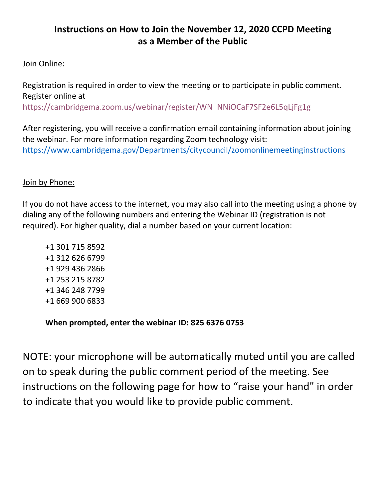## **Instructions on How to Join the November 12, 2020 CCPD Meeting as a Member of the Public**

## Join Online:

Registration is required in order to view the meeting or to participate in public comment. Register online at [https://cambridgema.zoom.us/webinar/register/WN\\_NNiOCaF7SF2e6L5qLjFg1g](https://cambridgema.zoom.us/webinar/register/WN_NNiOCaF7SF2e6L5qLjFg1g)

After registering, you will receive a confirmation email containing information about joining the webinar. For more information regarding Zoom technology visit: [https://www.cambridgema.gov/Departments/citycouncil/zoomonlinemeetinginstructions](https://gcc02.safelinks.protection.outlook.com/?url=https%3A%2F%2Fwww.cambridgema.gov%2FDepartments%2Fcitycouncil%2Fzoomonlinemeetinginstructions&data=02%7C01%7Ckthurman%40cambridgema.gov%7Cfa4c802e03de4fa9309c08d86a26078d%7Cc06a8be784794d73b35193bc9ba8295c%7C0%7C0%7C637376058894868636&sdata=nRwiC9sQT3%2BJAXyJXmUNVFGhXdhLqhHeWlysKCI5Nsc%3D&reserved=0)

## Join by Phone:

If you do not have access to the internet, you may also call into the meeting using a phone by dialing any of the following numbers and entering the Webinar ID (registration is not required). For higher quality, dial a number based on your current location:

**When prompted, enter the webinar ID: 825 6376 0753**

NOTE: your microphone will be automatically muted until you are called on to speak during the public comment period of the meeting. See instructions on the following page for how to "raise your hand" in order to indicate that you would like to provide public comment.